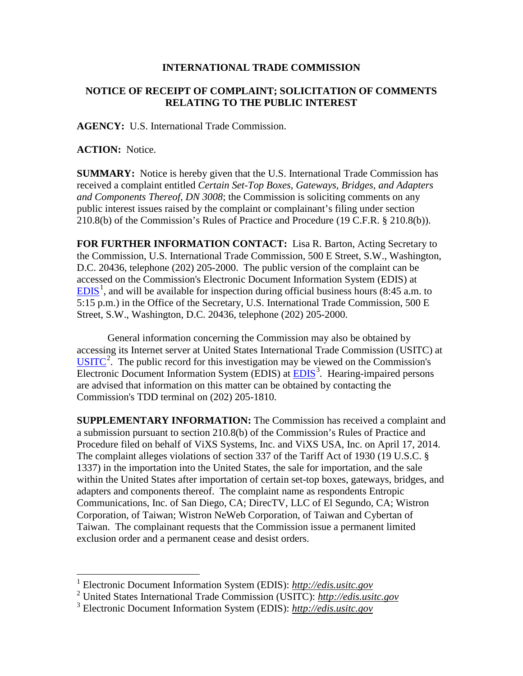## **INTERNATIONAL TRADE COMMISSION**

## **NOTICE OF RECEIPT OF COMPLAINT; SOLICITATION OF COMMENTS RELATING TO THE PUBLIC INTEREST**

**AGENCY:** U.S. International Trade Commission.

**ACTION:** Notice.

 $\overline{a}$ 

**SUMMARY:** Notice is hereby given that the U.S. International Trade Commission has received a complaint entitled *Certain Set-Top Boxes, Gateways, Bridges, and Adapters and Components Thereof, DN 3008*; the Commission is soliciting comments on any public interest issues raised by the complaint or complainant's filing under section 210.8(b) of the Commission's Rules of Practice and Procedure (19 C.F.R. § 210.8(b)).

**FOR FURTHER INFORMATION CONTACT:** Lisa R. Barton, Acting Secretary to the Commission, U.S. International Trade Commission, 500 E Street, S.W., Washington, D.C. 20436, telephone (202) 205-2000. The public version of the complaint can be accessed on the Commission's Electronic Document Information System (EDIS) at  $EDIS<sup>1</sup>$  $EDIS<sup>1</sup>$  $EDIS<sup>1</sup>$  $EDIS<sup>1</sup>$ , and will be available for inspection during official business hours (8:45 a.m. to 5:15 p.m.) in the Office of the Secretary, U.S. International Trade Commission, 500 E Street, S.W., Washington, D.C. 20436, telephone (202) 205-2000.

General information concerning the Commission may also be obtained by accessing its Internet server at United States International Trade Commission (USITC) at  $\overline{USTTC}^2$  $\overline{USTTC}^2$ . The public record for this investigation may be viewed on the Commission's Electronic Document Information System (EDIS) at **EDIS**<sup>[3](#page-0-2)</sup>. Hearing-impaired persons are advised that information on this matter can be obtained by contacting the Commission's TDD terminal on (202) 205-1810.

**SUPPLEMENTARY INFORMATION:** The Commission has received a complaint and a submission pursuant to section 210.8(b) of the Commission's Rules of Practice and Procedure filed on behalf of ViXS Systems, Inc. and ViXS USA, Inc. on April 17, 2014. The complaint alleges violations of section 337 of the Tariff Act of 1930 (19 U.S.C. § 1337) in the importation into the United States, the sale for importation, and the sale within the United States after importation of certain set-top boxes, gateways, bridges, and adapters and components thereof. The complaint name as respondents Entropic Communications, Inc. of San Diego, CA; DirecTV, LLC of El Segundo, CA; Wistron Corporation, of Taiwan; Wistron NeWeb Corporation, of Taiwan and Cybertan of Taiwan. The complainant requests that the Commission issue a permanent limited exclusion order and a permanent cease and desist orders.

<sup>1</sup> Electronic Document Information System (EDIS): *http://edis.usitc.gov*

<span id="page-0-1"></span><span id="page-0-0"></span><sup>2</sup> United States International Trade Commission (USITC): *http://edis.usitc.gov*

<span id="page-0-2"></span><sup>3</sup> Electronic Document Information System (EDIS): *http://edis.usitc.gov*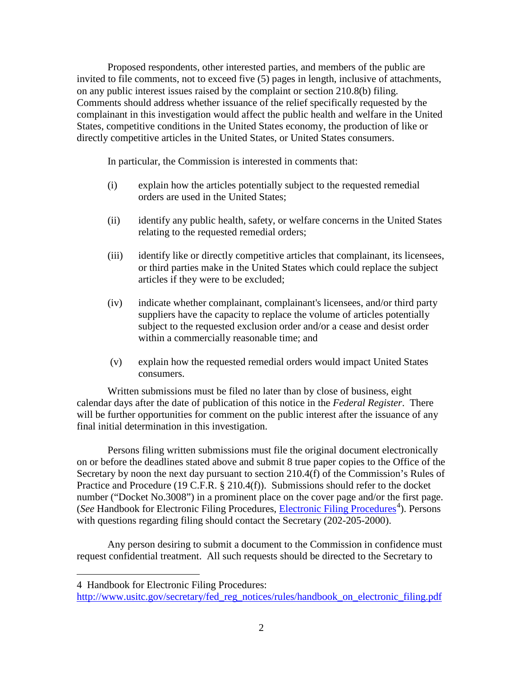Proposed respondents, other interested parties, and members of the public are invited to file comments, not to exceed five (5) pages in length, inclusive of attachments, on any public interest issues raised by the complaint or section 210.8(b) filing. Comments should address whether issuance of the relief specifically requested by the complainant in this investigation would affect the public health and welfare in the United States, competitive conditions in the United States economy, the production of like or directly competitive articles in the United States, or United States consumers.

In particular, the Commission is interested in comments that:

- (i) explain how the articles potentially subject to the requested remedial orders are used in the United States;
- (ii) identify any public health, safety, or welfare concerns in the United States relating to the requested remedial orders;
- (iii) identify like or directly competitive articles that complainant, its licensees, or third parties make in the United States which could replace the subject articles if they were to be excluded;
- (iv) indicate whether complainant, complainant's licensees, and/or third party suppliers have the capacity to replace the volume of articles potentially subject to the requested exclusion order and/or a cease and desist order within a commercially reasonable time; and
- (v) explain how the requested remedial orders would impact United States consumers.

Written submissions must be filed no later than by close of business, eight calendar days after the date of publication of this notice in the *Federal Register*. There will be further opportunities for comment on the public interest after the issuance of any final initial determination in this investigation.

Persons filing written submissions must file the original document electronically on or before the deadlines stated above and submit 8 true paper copies to the Office of the Secretary by noon the next day pursuant to section 210.4(f) of the Commission's Rules of Practice and Procedure (19 C.F.R. § 210.4(f)). Submissions should refer to the docket number ("Docket No.3008") in a prominent place on the cover page and/or the first page. (See Handbook for [Electronic Filing Procedures](http://www.usitc.gov/secretary/fed_reg_notices/rules/handbook_on_electronic_filing.pdf), *Electronic Filing Procedures*<sup>[4](#page-1-0)</sup>). Persons with questions regarding filing should contact the Secretary (202-205-2000).

Any person desiring to submit a document to the Commission in confidence must request confidential treatment. All such requests should be directed to the Secretary to

 $\overline{a}$ 

<span id="page-1-0"></span><sup>4</sup> Handbook for Electronic Filing Procedures:

http://www.usitc.gov/secretary/fed\_reg\_notices/rules/handbook\_on\_electronic\_filing.pdf